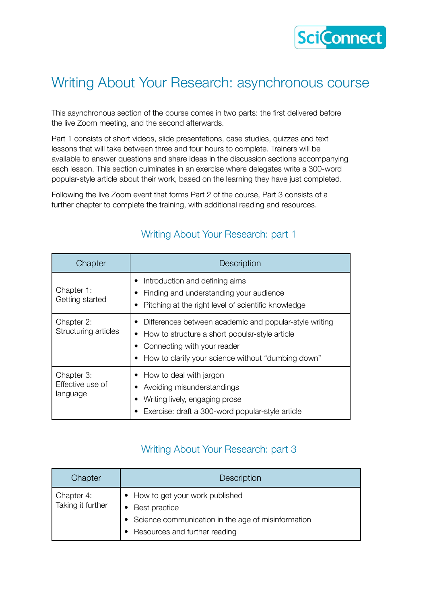

## Writing About Your Research: asynchronous course

This asynchronous section of the course comes in two parts: the first delivered before the live Zoom meeting, and the second afterwards.

Part 1 consists of short videos, slide presentations, case studies, quizzes and text lessons that will take between three and four hours to complete. Trainers will be available to answer questions and share ideas in the discussion sections accompanying each lesson. This section culminates in an exercise where delegates write a 300-word popular-style article about their work, based on the learning they have just completed.

Following the live Zoom event that forms Part 2 of the course, Part 3 consists of a further chapter to complete the training, with additional reading and resources.

| Chapter                                    | <b>Description</b>                                                                                                                                                                              |
|--------------------------------------------|-------------------------------------------------------------------------------------------------------------------------------------------------------------------------------------------------|
| Chapter 1:<br>Getting started              | Introduction and defining aims<br>Finding and understanding your audience<br>Pitching at the right level of scientific knowledge                                                                |
| Chapter 2:<br>Structuring articles         | Differences between academic and popular-style writing<br>• How to structure a short popular-style article<br>Connecting with your reader<br>How to clarify your science without "dumbing down" |
| Chapter 3:<br>Effective use of<br>language | How to deal with jargon<br>Avoiding misunderstandings<br>Writing lively, engaging prose<br>Exercise: draft a 300-word popular-style article                                                     |

### Writing About Your Research: part 1

#### Writing About Your Research: part 3

| Chapter                         | <b>Description</b>                                                                                                                         |
|---------------------------------|--------------------------------------------------------------------------------------------------------------------------------------------|
| Chapter 4:<br>Taking it further | • How to get your work published<br>Best practice<br>• Science communication in the age of misinformation<br>Resources and further reading |